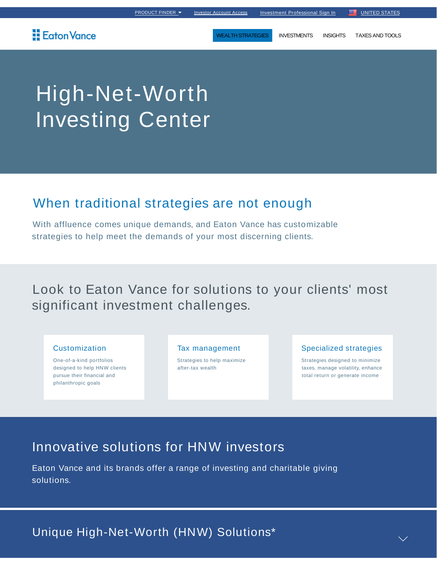## **Eaton Vance**

WEALTH STRATEGIES INVESTMENTS INSIGHTS TAXES AND TOOLS

# High-Net-Worth Investing Center

## When traditional strategies are not enough

With affluence comes unique demands, and Eaton Vance has customizable strategies to help meet the demands of your most discerning clients.

Look to Eaton Vance for solutions to your clients' most significant investment challenges.

### Customization

One-of-a-kind portfolios designed to help HNW clients pursue their financial and philanthropic goals

#### Tax management

Strategies to help maximize after-tax wealth

### Specialized strategies

Strategies designed to minimize taxes, manage volatility, enhance total return or generate income

## Innovative solutions for HNW investors

Eaton Vance and its brands offer a range of investing and charitable giving solutions.

Unique High-Net-Worth (HNW) Solutions\*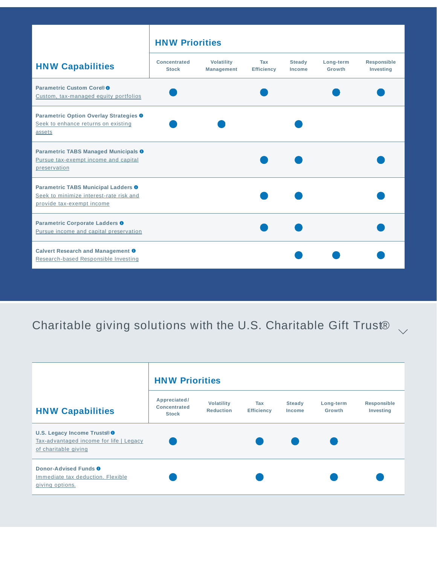|                                                                                                                        | <b>HNW Priorities</b>               |                                        |                          |                                |                     |                                 |
|------------------------------------------------------------------------------------------------------------------------|-------------------------------------|----------------------------------------|--------------------------|--------------------------------|---------------------|---------------------------------|
| <b>HNW Capabilities</b>                                                                                                | <b>Concentrated</b><br><b>Stock</b> | <b>Volatility</b><br><b>Management</b> | Tax<br><b>Efficiency</b> | <b>Steady</b><br><b>Income</b> | Long-term<br>Growth | <b>Responsible</b><br>Investing |
| Parametric Custom Core® <sup>®</sup><br>Custom, tax-managed equity portfolios                                          |                                     |                                        |                          |                                |                     |                                 |
| Parametric Option Overlay Strategies <sup>O</sup><br>Seek to enhance returns on existing<br>assets                     |                                     |                                        |                          |                                |                     |                                 |
| Parametric TABS Managed Municipals <sup>0</sup><br>Pursue tax-exempt income and capital<br>preservation                |                                     |                                        |                          |                                |                     |                                 |
| Parametric TABS Municipal Ladders <sup>O</sup><br>Seek to minimize interest-rate risk and<br>provide tax-exempt income |                                     |                                        |                          |                                |                     |                                 |
| Parametric Corporate Ladders <sup>O</sup><br>Pursue income and capital preservation                                    |                                     |                                        |                          |                                |                     |                                 |
| Calvert Research and Management <sup>O</sup><br>Research-based Responsible Investing                                   |                                     |                                        |                          |                                |                     |                                 |

## Charitable giving solutions with the U.S. Charitable Gift Trust<sup>®</sup>

|                                                                                                 | <b>HNW Priorities</b>                               |                                       |                          |                                |                     |                                 |
|-------------------------------------------------------------------------------------------------|-----------------------------------------------------|---------------------------------------|--------------------------|--------------------------------|---------------------|---------------------------------|
| <b>HNW Capabilities</b>                                                                         | Appreciated/<br><b>Concentrated</b><br><b>Stock</b> | <b>Volatility</b><br><b>Reduction</b> | Tax<br><b>Efficiency</b> | <b>Steady</b><br><b>Income</b> | Long-term<br>Growth | <b>Responsible</b><br>Investing |
| U.S. Legacy Income Trusts® O<br>Tax-advantaged income for life   Legacy<br>of charitable giving |                                                     |                                       |                          |                                |                     |                                 |
| Donor-Advised Funds <sup>O</sup><br>Immediate tax deduction. Flexible<br>giving options.        |                                                     |                                       |                          |                                |                     |                                 |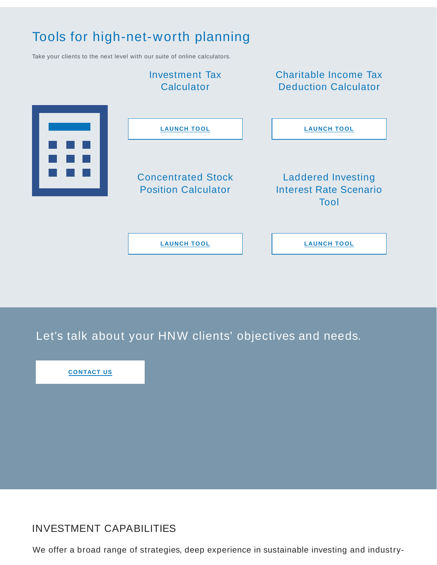## Tools for high-net-worth planning

Take your clients to the next level with our suite of online calculators.



Let's talk about your HNW clients' objectives and needs.

**CONTACT US**

## INVESTMENT CAPABILITIES

We offer a broad range of strategies, deep experience in sustainable investing and industry-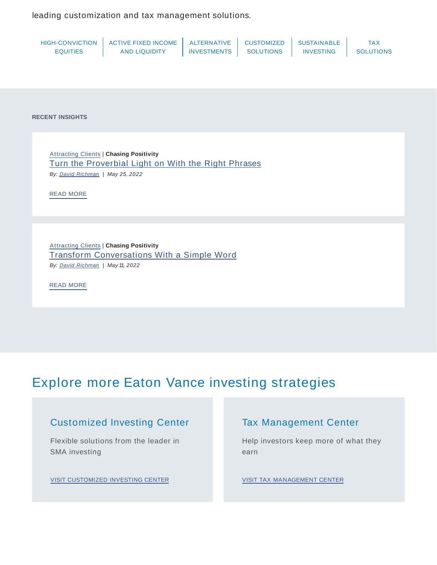leading customization and tax management solutions.

|                 | HIGH-CONVICTION   ACTIVE FIXED INCOME   ALTERNATIVE |                    | <b>CUSTOMIZED</b> | I SUSTAINABLE    |                  |
|-----------------|-----------------------------------------------------|--------------------|-------------------|------------------|------------------|
| <b>EQUITIES</b> | <b>AND LIQUIDITY</b>                                | <b>INVESTMENTS</b> | <b>SOLUTIONS</b>  | <b>INVESTING</b> | <b>SOLUTIONS</b> |

**RECENT INSIGHTS**

Attracting Clients | **Chasing Positivity** Turn the Proverbial Light on With the Right Phrases By: *David Richman* | May 25, 2022

READ MORE

Attracting Clients | **Chasing Positivity** Transform Conversations With a Simple Word By: *David Richman* | May 11, 2022

READ MORE

## Explore more Eaton Vance investing strategies

### Customized Investing Center

Flexible solutions from the leader in SMA investing

VISIT CUSTOMIZED INVESTING CENTER

### Tax Management Center

Help investors keep more of what they earn

VISIT TAX MANAGEMENT CENTER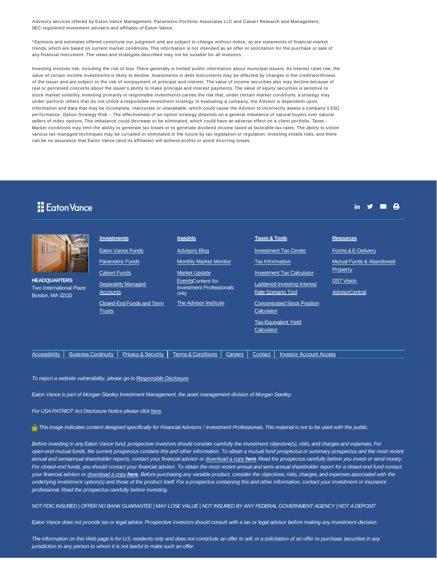Advisory services offered by Eaton Vance Management, Parametric Portfolio Associates LLC and Calvert Research and Management, SEC-registered investment advisers and affiliates of Eaton Vance.

\*Opinions and estimates offered constitute our judgment and are subject to change without notice, as are statements of financial market trends, which are based on current market conditions. This information is not intended as an offer or solicitation for the purchase or sale of any financial instrument. The views and strategies described may not be suitable for all investors.

Investing involves risk, including the risk of loss. There generally is limited public information about municipal issuers. As interest rates rise, the value of certain income investments is likely to decline. Investments in debt instruments may be affected by changes in the creditworthiness of the issuer and are subject to the risk of nonpayment of principal and interest. The value of income securities also may decline because of real or perceived concerns about the issuer' s ability to make principal and interest payments. The value of equity securities is sensitive to stock market volatility. Investing primarily in responsible investments carries the risk that, under certain market conditions, a strategy may under-perform others that do not utilize a responsible investment strategy. In evaluating a company, the Advisor is dependent upon information and data that may be incomplete, inaccurate or unavailable, which could cause the Advisor to incorrectly assess a company's ESG performance. Option Strategy Risk – The effectiveness of an option strategy depends on a general imbalance of natural buyers over natural sellers of index options. This imbalance could decrease or be eliminated, which could have an adverse effect on a client portfolio. Taxes - Market conditions may limit the ability to generate tax losses or to generate dividend income taxed at favorable tax rates. The ability to utilize various tax-managed techniques may be curtailed or eliminated in the future by tax legislation or regulation. Investing entails risks, and there can be no assurance that Eaton Vance (and its affiliates) will achieve profits or avoid incurring losses.

### **H** Eaton Vance

**HEADQUA Two Intern** Boston, M.

| <b>RTERS</b><br>ational Place | <b>Investments</b>                         | Insights                                                                     | <b>Taxes &amp; Tools</b>                         | <b>Resources</b>         |  |
|-------------------------------|--------------------------------------------|------------------------------------------------------------------------------|--------------------------------------------------|--------------------------|--|
|                               | <b>Eaton Vance Funds</b>                   | <b>Advisory Blog</b>                                                         | <b>Investment Tax Center</b>                     | Forms & E-Delivery       |  |
|                               | <b>Parametric Funds</b>                    | <b>Monthly Market Monitor</b>                                                | <b>Tax Information</b>                           | Mutual Funds & Abandonec |  |
|                               | <b>Calvert Funds</b>                       | <b>Market Update</b><br>EventsContent for<br><b>Investment Professionals</b> | <b>Investment Tax Calculator</b>                 | Property                 |  |
|                               | <b>Separately Managed</b>                  |                                                                              | <b>Laddered Investing Interest</b>               | <b>DST Vision</b>        |  |
| 02110                         | Accounts                                   | only                                                                         | <b>Rate Scenario Tool</b>                        | <b>AdvisorCentral</b>    |  |
|                               | Closed-End Funds and Term<br><b>Trusts</b> | The Advisor Institute                                                        | <b>Concentrated Stock Position</b><br>Calculator |                          |  |
|                               |                                            |                                                                              |                                                  |                          |  |
|                               |                                            |                                                                              | <b>Tax-Equivalent Yield</b><br>Calculator        |                          |  |
|                               |                                            |                                                                              |                                                  |                          |  |

Accessibility | Business Continuity | Privacy & Security | Terms & Conditions | Careers | Contact | Investor Account Access

To report a website vulnerability, please go to Responsible Disclosure.

Eaton Vance is part of Morgan Stanley Investment Management, the asset management division of Morgan Stanley.

For USA PATRIOT Act Disclosure Notice please click here.

This image indicates content designed specifically for Financial Advisors / Investment Professionals. This material is not to be used with the public.

Before investing in any Eaton Vance fund, prospective investors should consider carefully the investment objective(s), risks, and charges and expenses. For open-end mutual funds, the current prospectus contains this and other information. To obtain a mutual fund prospectus or summary prospectus and the most recent annual and semiannual shareholder reports, contact your financial advisor or download a copy **here**. Read the prospectus carefully before you invest or send money. For closed-end funds, you should contact your financial advisor. To obtain the most recent annual and semi-annual shareholder report for a closed-end fund contact your financial advisor or download a copy **here**. Before purchasing any variable product, consider the objectives, risks, charges, and expenses associated with the underlying investment option(s) and those of the product itself. For a prospectus containing this and other information, contact your investment or insurance professional. Read the prospectus carefully before investing.

NOT FDIC INSURED | OFFER NO BANK GUARANTEE | MAY LOSE VALUE | NOT INSURED BY ANY FEDERAL GOVERNMENT AGENCY | NOT A DEPOSIT

Eaton Vance does not provide tax or legal advice. Prospective investors should consult with a tax or legal advisor before making any investment decision.

The information on this Web page is for U.S. residents only and does not constitute an offer to sell, or a solicitation of an offer to purchase, securities in any jurisdiction to any person to whom it is not lawful to make such an offer.

in  $\mathbf{y}$